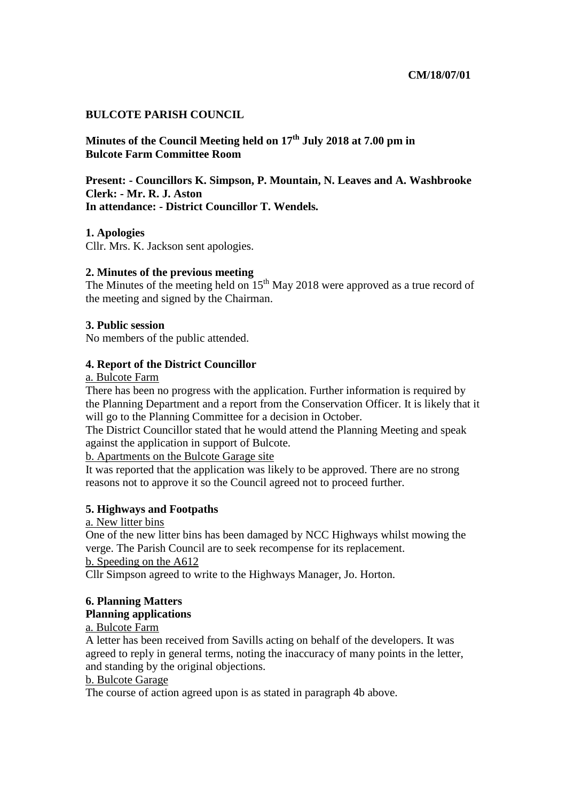### **BULCOTE PARISH COUNCIL**

**Minutes of the Council Meeting held on 17th July 2018 at 7.00 pm in Bulcote Farm Committee Room** 

**Present: - Councillors K. Simpson, P. Mountain, N. Leaves and A. Washbrooke Clerk: - Mr. R. J. Aston In attendance: - District Councillor T. Wendels.** 

### **1. Apologies**

Cllr. Mrs. K. Jackson sent apologies.

### **2. Minutes of the previous meeting**

The Minutes of the meeting held on  $15<sup>th</sup>$  May 2018 were approved as a true record of the meeting and signed by the Chairman.

### **3. Public session**

No members of the public attended.

### **4. Report of the District Councillor**

a. Bulcote Farm

There has been no progress with the application. Further information is required by the Planning Department and a report from the Conservation Officer. It is likely that it will go to the Planning Committee for a decision in October.

The District Councillor stated that he would attend the Planning Meeting and speak against the application in support of Bulcote.

b. Apartments on the Bulcote Garage site

It was reported that the application was likely to be approved. There are no strong reasons not to approve it so the Council agreed not to proceed further.

### **5. Highways and Footpaths**

a. New litter bins

One of the new litter bins has been damaged by NCC Highways whilst mowing the verge. The Parish Council are to seek recompense for its replacement.

b. Speeding on the A612

Cllr Simpson agreed to write to the Highways Manager, Jo. Horton.

# **6. Planning Matters**

### **Planning applications**

### a. Bulcote Farm

A letter has been received from Savills acting on behalf of the developers. It was agreed to reply in general terms, noting the inaccuracy of many points in the letter, and standing by the original objections.

### b. Bulcote Garage

The course of action agreed upon is as stated in paragraph 4b above.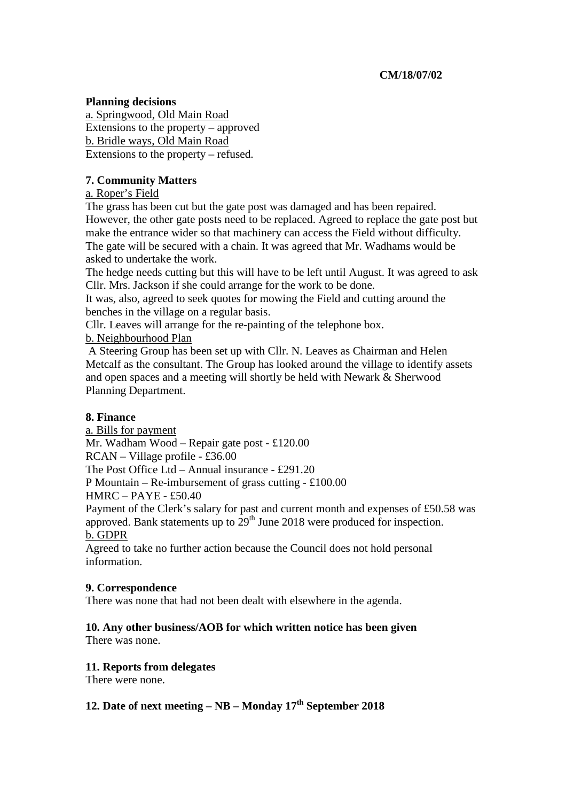# **CM/18/07/02**

### **Planning decisions**

a. Springwood, Old Main Road Extensions to the property – approved b. Bridle ways, Old Main Road Extensions to the property – refused.

# **7. Community Matters**

# a. Roper's Field

The grass has been cut but the gate post was damaged and has been repaired. However, the other gate posts need to be replaced. Agreed to replace the gate post but make the entrance wider so that machinery can access the Field without difficulty. The gate will be secured with a chain. It was agreed that Mr. Wadhams would be asked to undertake the work.

The hedge needs cutting but this will have to be left until August. It was agreed to ask Cllr. Mrs. Jackson if she could arrange for the work to be done.

It was, also, agreed to seek quotes for mowing the Field and cutting around the benches in the village on a regular basis.

Cllr. Leaves will arrange for the re-painting of the telephone box.

b. Neighbourhood Plan

 A Steering Group has been set up with Cllr. N. Leaves as Chairman and Helen Metcalf as the consultant. The Group has looked around the village to identify assets and open spaces and a meeting will shortly be held with Newark & Sherwood Planning Department.

# **8. Finance**

a. Bills for payment Mr. Wadham Wood – Repair gate post - £120.00 RCAN – Village profile - £36.00 The Post Office Ltd – Annual insurance - £291.20 P Mountain – Re-imbursement of grass cutting - £100.00

HMRC – PAYE - £50.40

Payment of the Clerk's salary for past and current month and expenses of £50.58 was approved. Bank statements up to 29<sup>th</sup> June 2018 were produced for inspection. b. GDPR

Agreed to take no further action because the Council does not hold personal information.

# **9. Correspondence**

There was none that had not been dealt with elsewhere in the agenda.

### **10. Any other business/AOB for which written notice has been given**  There was none.

# **11. Reports from delegates**

There were none.

# **12. Date of next meeting – NB – Monday 17th September 2018**